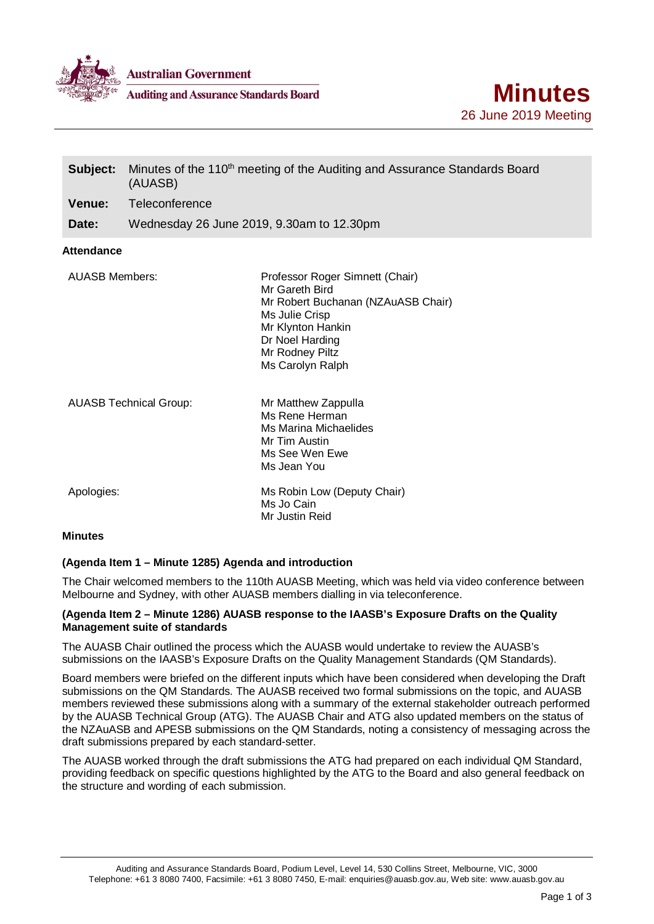

**Australian Government** 

**Auditing and Assurance Standards Board** 

| Subject:                      | Minutes of the 110 <sup>th</sup> meeting of the Auditing and Assurance Standards Board<br>(AUASB) |                                                                                                                                                                                          |
|-------------------------------|---------------------------------------------------------------------------------------------------|------------------------------------------------------------------------------------------------------------------------------------------------------------------------------------------|
| Venue:                        | Teleconference                                                                                    |                                                                                                                                                                                          |
| Date:                         |                                                                                                   | Wednesday 26 June 2019, 9.30am to 12.30pm                                                                                                                                                |
| <b>Attendance</b>             |                                                                                                   |                                                                                                                                                                                          |
| <b>AUASB Members:</b>         |                                                                                                   | Professor Roger Simnett (Chair)<br>Mr Gareth Bird<br>Mr Robert Buchanan (NZAuASB Chair)<br>Ms Julie Crisp<br>Mr Klynton Hankin<br>Dr Noel Harding<br>Mr Rodney Piltz<br>Ms Carolyn Ralph |
| <b>AUASB Technical Group:</b> |                                                                                                   | Mr Matthew Zappulla<br>Ms Rene Herman<br>Ms Marina Michaelides<br>Mr Tim Austin<br>Ms See Wen Ewe<br>Ms Jean You                                                                         |
| Apologies:                    |                                                                                                   | Ms Robin Low (Deputy Chair)<br>Ms Jo Cain<br>Mr Justin Reid                                                                                                                              |
| <b>Minutes</b>                |                                                                                                   |                                                                                                                                                                                          |

# **(Agenda Item 1 – Minute 1285) Agenda and introduction**

The Chair welcomed members to the 110th AUASB Meeting, which was held via video conference between Melbourne and Sydney, with other AUASB members dialling in via teleconference.

#### **(Agenda Item 2 – Minute 1286) AUASB response to the IAASB's Exposure Drafts on the Quality Management suite of standards**

The AUASB Chair outlined the process which the AUASB would undertake to review the AUASB's submissions on the IAASB's Exposure Drafts on the Quality Management Standards (QM Standards).

Board members were briefed on the different inputs which have been considered when developing the Draft submissions on the QM Standards. The AUASB received two formal submissions on the topic, and AUASB members reviewed these submissions along with a summary of the external stakeholder outreach performed by the AUASB Technical Group (ATG). The AUASB Chair and ATG also updated members on the status of the NZAuASB and APESB submissions on the QM Standards, noting a consistency of messaging across the draft submissions prepared by each standard-setter.

The AUASB worked through the draft submissions the ATG had prepared on each individual QM Standard, providing feedback on specific questions highlighted by the ATG to the Board and also general feedback on the structure and wording of each submission.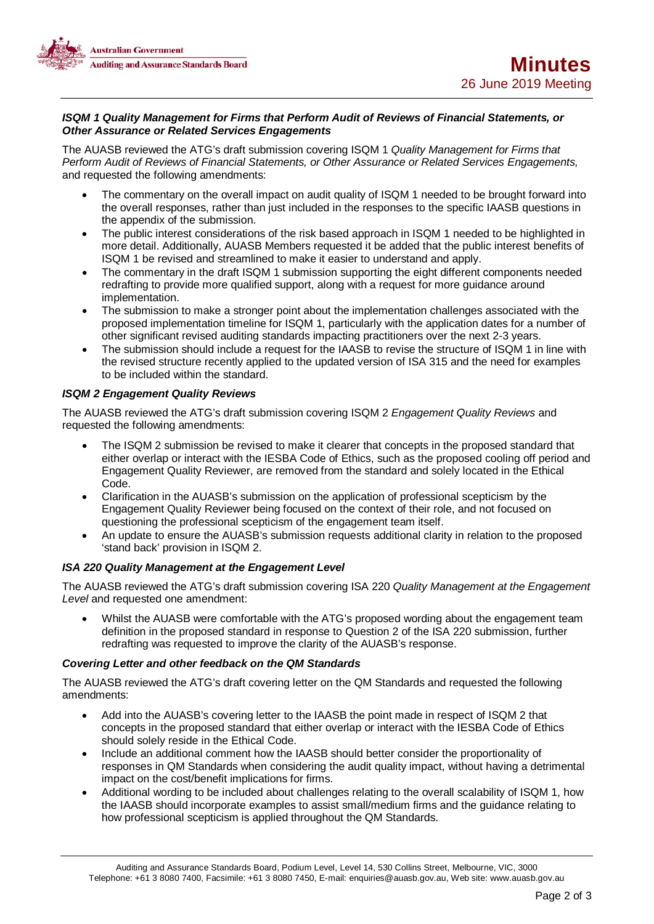

### *ISQM 1 Quality Management for Firms that Perform Audit of Reviews of Financial Statements, or Other Assurance or Related Services Engagements*

The AUASB reviewed the ATG's draft submission covering ISQM 1 *Quality Management for Firms that Perform Audit of Reviews of Financial Statements, or Other Assurance or Related Services Engagements,* and requested the following amendments:

- The commentary on the overall impact on audit quality of ISQM 1 needed to be brought forward into the overall responses, rather than just included in the responses to the specific IAASB questions in the appendix of the submission.
- The public interest considerations of the risk based approach in ISQM 1 needed to be highlighted in more detail. Additionally, AUASB Members requested it be added that the public interest benefits of ISQM 1 be revised and streamlined to make it easier to understand and apply.
- The commentary in the draft ISQM 1 submission supporting the eight different components needed redrafting to provide more qualified support, along with a request for more guidance around implementation.
- The submission to make a stronger point about the implementation challenges associated with the proposed implementation timeline for ISQM 1, particularly with the application dates for a number of other significant revised auditing standards impacting practitioners over the next 2-3 years.
- The submission should include a request for the IAASB to revise the structure of ISQM 1 in line with the revised structure recently applied to the updated version of ISA 315 and the need for examples to be included within the standard.

# *ISQM 2 Engagement Quality Reviews*

The AUASB reviewed the ATG's draft submission covering ISQM 2 *Engagement Quality Reviews* and requested the following amendments:

- The ISQM 2 submission be revised to make it clearer that concepts in the proposed standard that either overlap or interact with the IESBA Code of Ethics, such as the proposed cooling off period and Engagement Quality Reviewer, are removed from the standard and solely located in the Ethical Code.
- Clarification in the AUASB's submission on the application of professional scepticism by the Engagement Quality Reviewer being focused on the context of their role, and not focused on questioning the professional scepticism of the engagement team itself.
- An update to ensure the AUASB's submission requests additional clarity in relation to the proposed 'stand back' provision in ISQM 2.

# *ISA 220 Quality Management at the Engagement Level*

The AUASB reviewed the ATG's draft submission covering ISA 220 *Quality Management at the Engagement Level* and requested one amendment:

• Whilst the AUASB were comfortable with the ATG's proposed wording about the engagement team definition in the proposed standard in response to Question 2 of the ISA 220 submission, further redrafting was requested to improve the clarity of the AUASB's response.

# *Covering Letter and other feedback on the QM Standards*

The AUASB reviewed the ATG's draft covering letter on the QM Standards and requested the following amendments:

- Add into the AUASB's covering letter to the IAASB the point made in respect of ISQM 2 that concepts in the proposed standard that either overlap or interact with the IESBA Code of Ethics should solely reside in the Ethical Code.
- Include an additional comment how the IAASB should better consider the proportionality of responses in QM Standards when considering the audit quality impact, without having a detrimental impact on the cost/benefit implications for firms.
- Additional wording to be included about challenges relating to the overall scalability of ISQM 1, how the IAASB should incorporate examples to assist small/medium firms and the guidance relating to how professional scepticism is applied throughout the QM Standards.